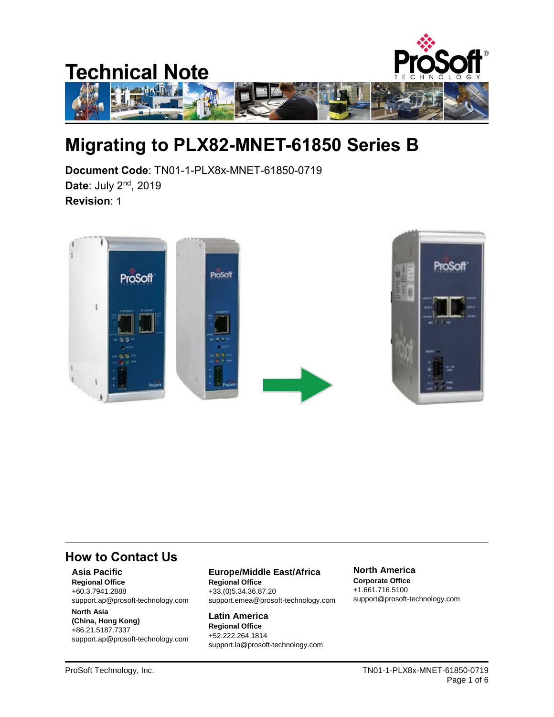

# **Migrating to PLX82-MNET-61850 Series B**

**Document Code**: TN01-1-PLX8x-MNET-61850-0719 **Date**: July 2nd, 2019 **Revision**: 1



#### **How to Contact Us**

#### **Asia Pacific**

**Regional Office** +60.3.7941.2888 support.ap@prosoft-technology.com

#### **North Asia (China, Hong Kong)** +86.21.5187.7337 support.ap@prosoft-technology.com

**Europe/Middle East/Africa Regional Office**

+33.(0)5.34.36.87.20 support.emea@prosoft-technology.com

**Latin America Regional Office** +52.222.264.1814 support.la@prosoft-technology.com **North America Corporate Office** +1.661.716.5100 support@prosoft-technology.com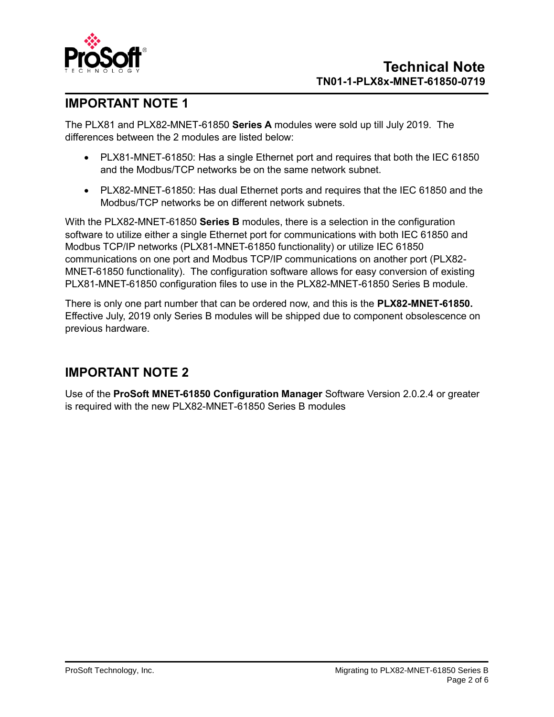

## **IMPORTANT NOTE 1**

The PLX81 and PLX82-MNET-61850 **Series A** modules were sold up till July 2019. The differences between the 2 modules are listed below:

- PLX81-MNET-61850: Has a single Ethernet port and requires that both the IEC 61850 and the Modbus/TCP networks be on the same network subnet.
- PLX82-MNET-61850: Has dual Ethernet ports and requires that the IEC 61850 and the Modbus/TCP networks be on different network subnets.

With the PLX82-MNET-61850 **Series B** modules, there is a selection in the configuration software to utilize either a single Ethernet port for communications with both IEC 61850 and Modbus TCP/IP networks (PLX81-MNET-61850 functionality) or utilize IEC 61850 communications on one port and Modbus TCP/IP communications on another port (PLX82- MNET-61850 functionality). The configuration software allows for easy conversion of existing PLX81-MNET-61850 configuration files to use in the PLX82-MNET-61850 Series B module.

There is only one part number that can be ordered now, and this is the **PLX82-MNET-61850.**  Effective July, 2019 only Series B modules will be shipped due to component obsolescence on previous hardware.

#### **IMPORTANT NOTE 2**

Use of the **ProSoft MNET-61850 Configuration Manager** Software Version 2.0.2.4 or greater is required with the new PLX82-MNET-61850 Series B modules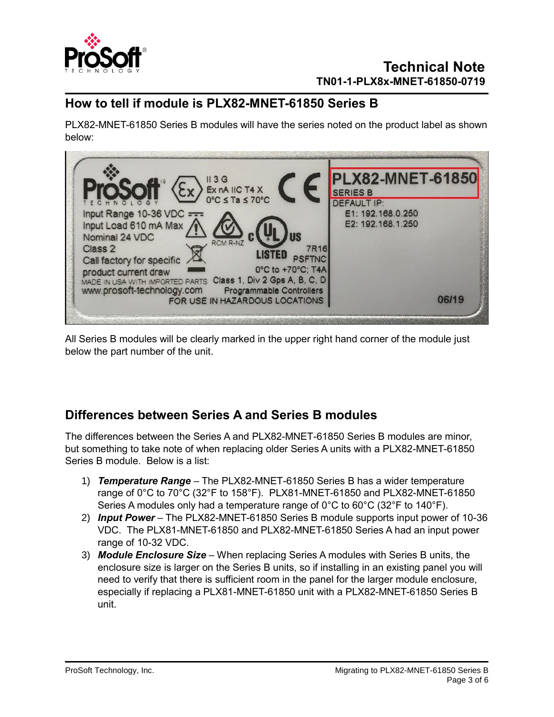

#### **How to tell if module is PLX82-MNET-61850 Series B**

PLX82-MNET-61850 Series B modules will have the series noted on the product label as shown below:

| $\left\langle \xi_{X}\right\rangle$ Ex nA IIC T4 X                                                    | <b>PLX82-MNET-61850</b><br><b>SERIES B</b> |       |
|-------------------------------------------------------------------------------------------------------|--------------------------------------------|-------|
|                                                                                                       | <b>DEFAULT IP:</b>                         |       |
| Input Range 10-36 VDC ===                                                                             | E1: 192.168.0.250                          |       |
| Input Load 610 mA Max<br>Nominal 24 VDC<br><b>RCM R-NZ</b><br>Class 2<br><b>7R16</b><br><b>LISTED</b> | E2: 192.168.1.250                          |       |
| Call factory for specific                                                                             |                                            |       |
| 0°C to +70°C; T4A<br>product current draw                                                             |                                            |       |
| MADE IN USA WITH IMPORTED PARTS Class 1, Div 2 Gps A, B, C, D                                         |                                            |       |
| www.prosoft-technology.com<br><b>Programmable Controllers</b><br>FOR USE IN HAZARDOUS LOCATIONS       |                                            | 06/19 |

All Series B modules will be clearly marked in the upper right hand corner of the module just below the part number of the unit.

#### **Differences between Series A and Series B modules**

The differences between the Series A and PLX82-MNET-61850 Series B modules are minor, but something to take note of when replacing older Series A units with a PLX82-MNET-61850 Series B module. Below is a list:

- 1) *Temperature Range* The PLX82-MNET-61850 Series B has a wider temperature range of 0°C to 70°C (32°F to 158°F). PLX81-MNET-61850 and PLX82-MNET-61850 Series A modules only had a temperature range of  $0^{\circ}$ C to  $60^{\circ}$ C (32°F to 140°F).
- 2) *Input Power* The PLX82-MNET-61850 Series B module supports input power of 10-36 VDC. The PLX81-MNET-61850 and PLX82-MNET-61850 Series A had an input power range of 10-32 VDC.
- 3) *Module Enclosure Size* When replacing Series A modules with Series B units, the enclosure size is larger on the Series B units, so if installing in an existing panel you will need to verify that there is sufficient room in the panel for the larger module enclosure, especially if replacing a PLX81-MNET-61850 unit with a PLX82-MNET-61850 Series B unit.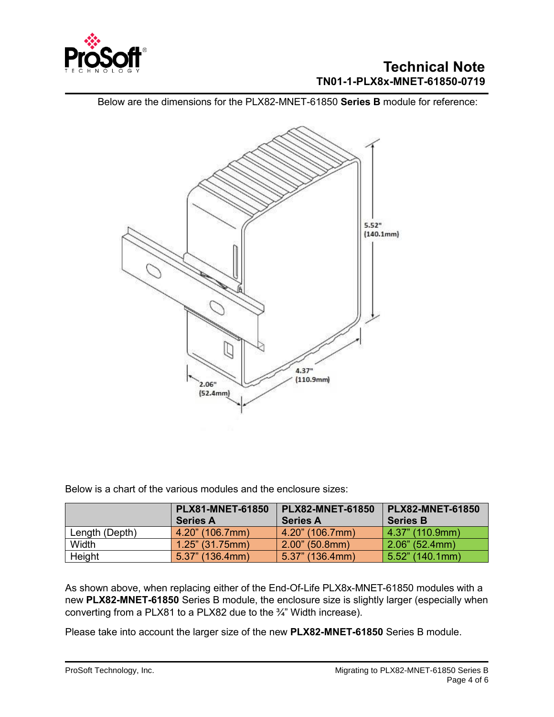

#### **Technical Note TN01-1-PLX8x-MNET-61850-0719**

Below are the dimensions for the PLX82-MNET-61850 **Series B** module for reference:



Below is a chart of the various modules and the enclosure sizes:

|                | <b>PLX81-MNET-61850</b> | <b>PLX82-MNET-61850</b> | <b>PLX82-MNET-61850</b> |  |  |  |
|----------------|-------------------------|-------------------------|-------------------------|--|--|--|
|                | <b>Series A</b>         | <b>Series A</b>         | <b>Series B</b>         |  |  |  |
| Length (Depth) | 4.20" (106.7mm)         | $4.20$ " (106.7mm)      | $4.37$ " (110.9mm)      |  |  |  |
| Width          | $1.25$ " (31.75mm)      | $2.00$ " (50.8mm)       | $2.06$ " (52.4mm)       |  |  |  |
| Height         | $5.37$ " (136.4mm)      | $5.37$ " (136.4mm)      | $5.52$ " (140.1mm)      |  |  |  |

As shown above, when replacing either of the End-Of-Life PLX8x-MNET-61850 modules with a new **PLX82-MNET-61850** Series B module, the enclosure size is slightly larger (especially when converting from a PLX81 to a PLX82 due to the ¾" Width increase).

Please take into account the larger size of the new **PLX82-MNET-61850** Series B module.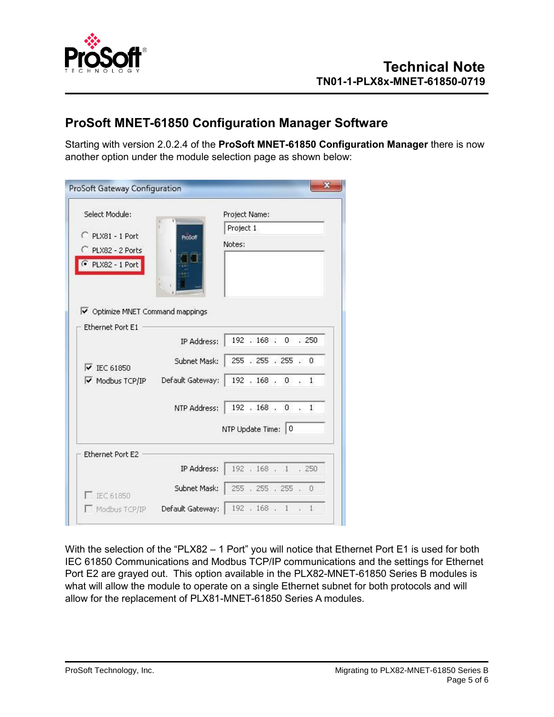

#### **ProSoft MNET-61850 Configuration Manager Software**

Starting with version 2.0.2.4 of the **ProSoft MNET-61850 Configuration Manager** there is now another option under the module selection page as shown below:

| Select Module:                                              |                                      | Project Name:       |  |  |  |  |  |  |
|-------------------------------------------------------------|--------------------------------------|---------------------|--|--|--|--|--|--|
|                                                             |                                      | Project 1           |  |  |  |  |  |  |
| PLX81 - 1 Port<br>ProSoft<br>PLX82 - 2 Ports                |                                      | Notes:              |  |  |  |  |  |  |
| PLX82 - 1 Port                                              |                                      |                     |  |  |  |  |  |  |
| V Optimize MNET Command mappings<br><b>Ethernet Port E1</b> |                                      |                     |  |  |  |  |  |  |
| $\overline{\triangledown}$ IEC 61850                        | IP Address:                          | 192 , 168 , 0 , 250 |  |  |  |  |  |  |
|                                                             | Subnet Mask:   255 . 255 . 255 . 0   |                     |  |  |  |  |  |  |
| $\overline{\mathsf{v}}$ Modbus TCP/IP                       | Default Gateway:   192 . 168 . 0 . 1 |                     |  |  |  |  |  |  |
|                                                             |                                      |                     |  |  |  |  |  |  |
|                                                             | NTP Address: 192 . 168 . 0 . 1       |                     |  |  |  |  |  |  |
|                                                             |                                      | NTP Update Time: 0  |  |  |  |  |  |  |
|                                                             |                                      |                     |  |  |  |  |  |  |
|                                                             | IP Address:                          | 192 . 168 . 1 . 250 |  |  |  |  |  |  |
| Ethernet Port E2<br>IFC 61850                               | Subnet Mask:   255 , 255 , 255 , 0   |                     |  |  |  |  |  |  |

With the selection of the "PLX82 - 1 Port" you will notice that Ethernet Port E1 is used for both IEC 61850 Communications and Modbus TCP/IP communications and the settings for Ethernet Port E2 are grayed out. This option available in the PLX82-MNET-61850 Series B modules is what will allow the module to operate on a single Ethernet subnet for both protocols and will allow for the replacement of PLX81-MNET-61850 Series A modules.